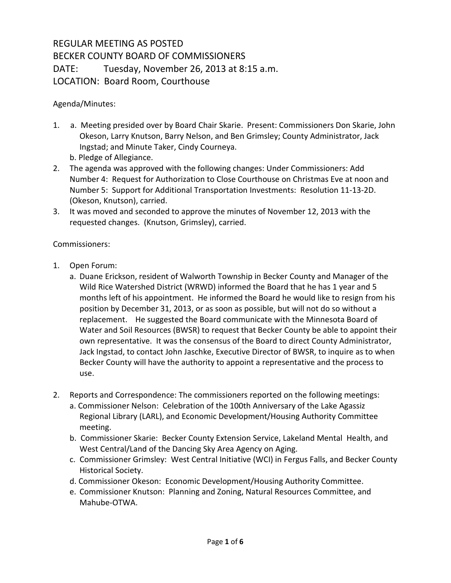## REGULAR MEETING AS POSTED BECKER COUNTY BOARD OF COMMISSIONERS DATE: Tuesday, November 26, 2013 at 8:15 a.m. LOCATION: Board Room, Courthouse

Agenda/Minutes:

- 1. a. Meeting presided over by Board Chair Skarie. Present: Commissioners Don Skarie, John Okeson, Larry Knutson, Barry Nelson, and Ben Grimsley; County Administrator, Jack Ingstad; and Minute Taker, Cindy Courneya.
	- b. Pledge of Allegiance.
- 2. The agenda was approved with the following changes: Under Commissioners: Add Number 4: Request for Authorization to Close Courthouse on Christmas Eve at noon and Number 5: Support for Additional Transportation Investments: Resolution 11-13-2D. (Okeson, Knutson), carried.
- 3. It was moved and seconded to approve the minutes of November 12, 2013 with the requested changes. (Knutson, Grimsley), carried.

Commissioners:

- 1. Open Forum:
	- a. Duane Erickson, resident of Walworth Township in Becker County and Manager of the Wild Rice Watershed District (WRWD) informed the Board that he has 1 year and 5 months left of his appointment. He informed the Board he would like to resign from his position by December 31, 2013, or as soon as possible, but will not do so without a replacement. He suggested the Board communicate with the Minnesota Board of Water and Soil Resources (BWSR) to request that Becker County be able to appoint their own representative. It was the consensus of the Board to direct County Administrator, Jack Ingstad, to contact John Jaschke, Executive Director of BWSR, to inquire as to when Becker County will have the authority to appoint a representative and the process to use.
- 2. Reports and Correspondence: The commissioners reported on the following meetings:
	- a. Commissioner Nelson: Celebration of the 100th Anniversary of the Lake Agassiz Regional Library (LARL), and Economic Development/Housing Authority Committee meeting.
	- b. Commissioner Skarie: Becker County Extension Service, Lakeland Mental Health, and West Central/Land of the Dancing Sky Area Agency on Aging.
	- c. Commissioner Grimsley: West Central Initiative (WCI) in Fergus Falls, and Becker County Historical Society.
	- d. Commissioner Okeson: Economic Development/Housing Authority Committee.
	- e. Commissioner Knutson: Planning and Zoning, Natural Resources Committee, and Mahube-OTWA.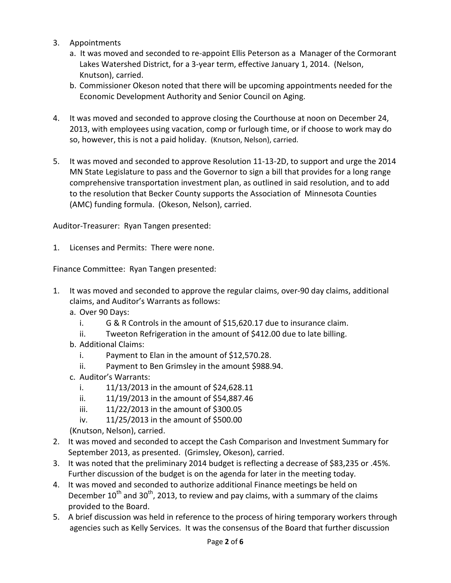- 3. Appointments
	- a. It was moved and seconded to re-appoint Ellis Peterson as a Manager of the Cormorant Lakes Watershed District, for a 3-year term, effective January 1, 2014. (Nelson, Knutson), carried.
	- b. Commissioner Okeson noted that there will be upcoming appointments needed for the Economic Development Authority and Senior Council on Aging.
- 4. It was moved and seconded to approve closing the Courthouse at noon on December 24, 2013, with employees using vacation, comp or furlough time, or if choose to work may do so, however, this is not a paid holiday. (Knutson, Nelson), carried.
- 5. It was moved and seconded to approve Resolution 11-13-2D, to support and urge the 2014 MN State Legislature to pass and the Governor to sign a bill that provides for a long range comprehensive transportation investment plan, as outlined in said resolution, and to add to the resolution that Becker County supports the Association of Minnesota Counties (AMC) funding formula. (Okeson, Nelson), carried.

Auditor-Treasurer: Ryan Tangen presented:

1. Licenses and Permits: There were none.

Finance Committee: Ryan Tangen presented:

- 1. It was moved and seconded to approve the regular claims, over-90 day claims, additional claims, and Auditor's Warrants as follows:
	- a. Over 90 Days:
		- i. G & R Controls in the amount of \$15,620.17 due to insurance claim.
		- ii. Tweeton Refrigeration in the amount of \$412.00 due to late billing.
	- b. Additional Claims:
		- i. Payment to Elan in the amount of \$12,570.28.
		- ii. Payment to Ben Grimsley in the amount \$988.94.
	- c. Auditor's Warrants:
		- i. 11/13/2013 in the amount of \$24,628.11
		- ii. 11/19/2013 in the amount of \$54,887.46
		- iii. 11/22/2013 in the amount of \$300.05
		- iv. 11/25/2013 in the amount of \$500.00

(Knutson, Nelson), carried.

- 2. It was moved and seconded to accept the Cash Comparison and Investment Summary for September 2013, as presented. (Grimsley, Okeson), carried.
- 3. It was noted that the preliminary 2014 budget is reflecting a decrease of \$83,235 or .45%. Further discussion of the budget is on the agenda for later in the meeting today.
- 4. It was moved and seconded to authorize additional Finance meetings be held on December  $10^{th}$  and  $30^{th}$ , 2013, to review and pay claims, with a summary of the claims provided to the Board.
- 5. A brief discussion was held in reference to the process of hiring temporary workers through agencies such as Kelly Services. It was the consensus of the Board that further discussion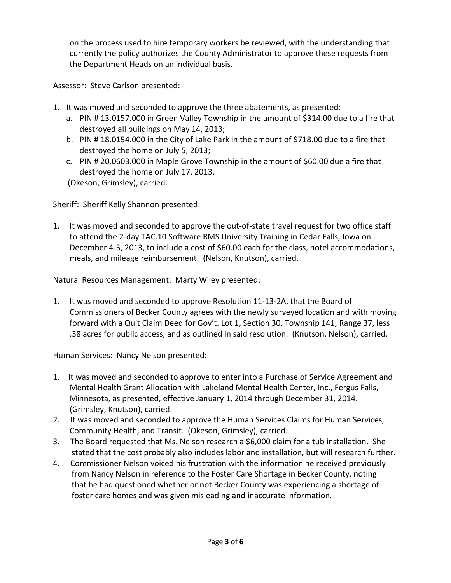on the process used to hire temporary workers be reviewed, with the understanding that currently the policy authorizes the County Administrator to approve these requests from the Department Heads on an individual basis.

Assessor: Steve Carlson presented:

- 1. It was moved and seconded to approve the three abatements, as presented:
	- a. PIN # 13.0157.000 in Green Valley Township in the amount of \$314.00 due to a fire that destroyed all buildings on May 14, 2013;
	- b. PIN #18.0154.000 in the City of Lake Park in the amount of \$718.00 due to a fire that destroyed the home on July 5, 2013;
	- c. PIN # 20.0603.000 in Maple Grove Township in the amount of \$60.00 due a fire that destroyed the home on July 17, 2013.

(Okeson, Grimsley), carried.

Sheriff: Sheriff Kelly Shannon presented:

1. It was moved and seconded to approve the out-of-state travel request for two office staff to attend the 2-day TAC.10 Software RMS University Training in Cedar Falls, Iowa on December 4-5, 2013, to include a cost of \$60.00 each for the class, hotel accommodations, meals, and mileage reimbursement. (Nelson, Knutson), carried.

Natural Resources Management: Marty Wiley presented:

1. It was moved and seconded to approve Resolution 11-13-2A, that the Board of Commissioners of Becker County agrees with the newly surveyed location and with moving forward with a Quit Claim Deed for Gov't. Lot 1, Section 30, Township 141, Range 37, less .38 acres for public access, and as outlined in said resolution. (Knutson, Nelson), carried.

Human Services: Nancy Nelson presented:

- 1. It was moved and seconded to approve to enter into a Purchase of Service Agreement and Mental Health Grant Allocation with Lakeland Mental Health Center, Inc., Fergus Falls, Minnesota, as presented, effective January 1, 2014 through December 31, 2014. (Grimsley, Knutson), carried.
- 2. It was moved and seconded to approve the Human Services Claims for Human Services, Community Health, and Transit. (Okeson, Grimsley), carried.
- 3. The Board requested that Ms. Nelson research a \$6,000 claim for a tub installation. She stated that the cost probably also includes labor and installation, but will research further.
- 4. Commissioner Nelson voiced his frustration with the information he received previously from Nancy Nelson in reference to the Foster Care Shortage in Becker County, noting that he had questioned whether or not Becker County was experiencing a shortage of foster care homes and was given misleading and inaccurate information.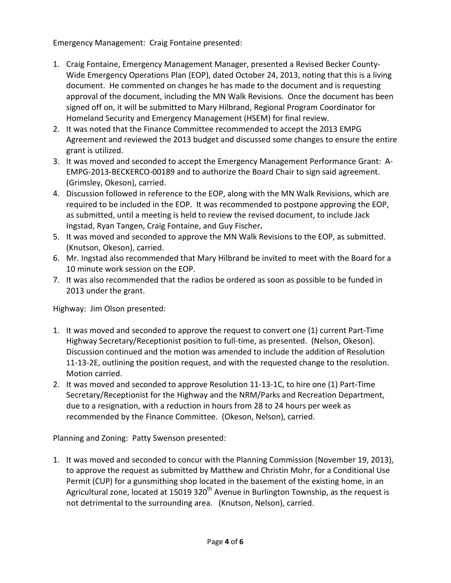Emergency Management: Craig Fontaine presented:

- 1. Craig Fontaine, Emergency Management Manager, presented a Revised Becker County-Wide Emergency Operations Plan (EOP), dated October 24, 2013, noting that this is a living document. He commented on changes he has made to the document and is requesting approval of the document, including the MN Walk Revisions. Once the document has been signed off on, it will be submitted to Mary Hilbrand, Regional Program Coordinator for Homeland Security and Emergency Management (HSEM) for final review.
- 2. It was noted that the Finance Committee recommended to accept the 2013 EMPG Agreement and reviewed the 2013 budget and discussed some changes to ensure the entire grant is utilized.
- 3. It was moved and seconded to accept the Emergency Management Performance Grant: A-EMPG-2013-BECKERCO-00189 and to authorize the Board Chair to sign said agreement. (Grimsley, Okeson), carried.
- 4. Discussion followed in reference to the EOP, along with the MN Walk Revisions, which are required to be included in the EOP. It was recommended to postpone approving the EOP, as submitted, until a meeting is held to review the revised document, to include Jack Ingstad, Ryan Tangen, Craig Fontaine, and Guy Fischer**.**
- 5. It was moved and seconded to approve the MN Walk Revisions to the EOP, as submitted. (Knutson, Okeson), carried.
- 6. Mr. Ingstad also recommended that Mary Hilbrand be invited to meet with the Board for a 10 minute work session on the EOP.
- 7. It was also recommended that the radios be ordered as soon as possible to be funded in 2013 under the grant.

Highway: Jim Olson presented:

- 1. It was moved and seconded to approve the request to convert one (1) current Part-Time Highway Secretary/Receptionist position to full-time, as presented. (Nelson, Okeson). Discussion continued and the motion was amended to include the addition of Resolution 11-13-2E, outlining the position request, and with the requested change to the resolution. Motion carried.
- 2. It was moved and seconded to approve Resolution 11-13-1C, to hire one (1) Part-Time Secretary/Receptionist for the Highway and the NRM/Parks and Recreation Department, due to a resignation, with a reduction in hours from 28 to 24 hours per week as recommended by the Finance Committee. (Okeson, Nelson), carried.

Planning and Zoning: Patty Swenson presented:

1. It was moved and seconded to concur with the Planning Commission (November 19, 2013), to approve the request as submitted by Matthew and Christin Mohr, for a Conditional Use Permit (CUP) for a gunsmithing shop located in the basement of the existing home, in an Agricultural zone, located at 15019 320<sup>th</sup> Avenue in Burlington Township, as the request is not detrimental to the surrounding area. (Knutson, Nelson), carried.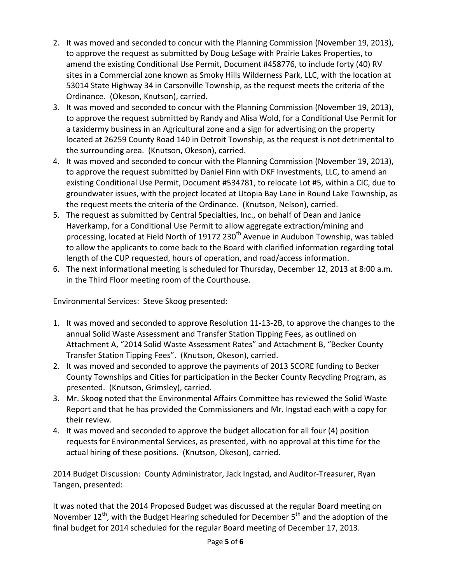- 2. It was moved and seconded to concur with the Planning Commission (November 19, 2013), to approve the request as submitted by Doug LeSage with Prairie Lakes Properties, to amend the existing Conditional Use Permit, Document #458776, to include forty (40) RV sites in a Commercial zone known as Smoky Hills Wilderness Park, LLC, with the location at 53014 State Highway 34 in Carsonville Township, as the request meets the criteria of the Ordinance. (Okeson, Knutson), carried.
- 3. It was moved and seconded to concur with the Planning Commission (November 19, 2013), to approve the request submitted by Randy and Alisa Wold, for a Conditional Use Permit for a taxidermy business in an Agricultural zone and a sign for advertising on the property located at 26259 County Road 140 in Detroit Township, as the request is not detrimental to the surrounding area. (Knutson, Okeson), carried.
- 4. It was moved and seconded to concur with the Planning Commission (November 19, 2013), to approve the request submitted by Daniel Finn with DKF Investments, LLC, to amend an existing Conditional Use Permit, Document #534781, to relocate Lot #5, within a CIC, due to groundwater issues, with the project located at Utopia Bay Lane in Round Lake Township, as the request meets the criteria of the Ordinance. (Knutson, Nelson), carried.
- 5. The request as submitted by Central Specialties, Inc., on behalf of Dean and Janice Haverkamp, for a Conditional Use Permit to allow aggregate extraction/mining and processing, located at Field North of 19172 230<sup>th</sup> Avenue in Audubon Township, was tabled to allow the applicants to come back to the Board with clarified information regarding total length of the CUP requested, hours of operation, and road/access information.
- 6. The next informational meeting is scheduled for Thursday, December 12, 2013 at 8:00 a.m. in the Third Floor meeting room of the Courthouse.

Environmental Services: Steve Skoog presented:

- 1. It was moved and seconded to approve Resolution 11-13-2B, to approve the changes to the annual Solid Waste Assessment and Transfer Station Tipping Fees, as outlined on Attachment A, "2014 Solid Waste Assessment Rates" and Attachment B, "Becker County Transfer Station Tipping Fees". (Knutson, Okeson), carried.
- 2. It was moved and seconded to approve the payments of 2013 SCORE funding to Becker County Townships and Cities for participation in the Becker County Recycling Program, as presented. (Knutson, Grimsley), carried.
- 3. Mr. Skoog noted that the Environmental Affairs Committee has reviewed the Solid Waste Report and that he has provided the Commissioners and Mr. Ingstad each with a copy for their review.
- 4. It was moved and seconded to approve the budget allocation for all four (4) position requests for Environmental Services, as presented, with no approval at this time for the actual hiring of these positions. (Knutson, Okeson), carried.

2014 Budget Discussion: County Administrator, Jack Ingstad, and Auditor-Treasurer, Ryan Tangen, presented:

It was noted that the 2014 Proposed Budget was discussed at the regular Board meeting on November  $12^{th}$ , with the Budget Hearing scheduled for December  $5^{th}$  and the adoption of the final budget for 2014 scheduled for the regular Board meeting of December 17, 2013.